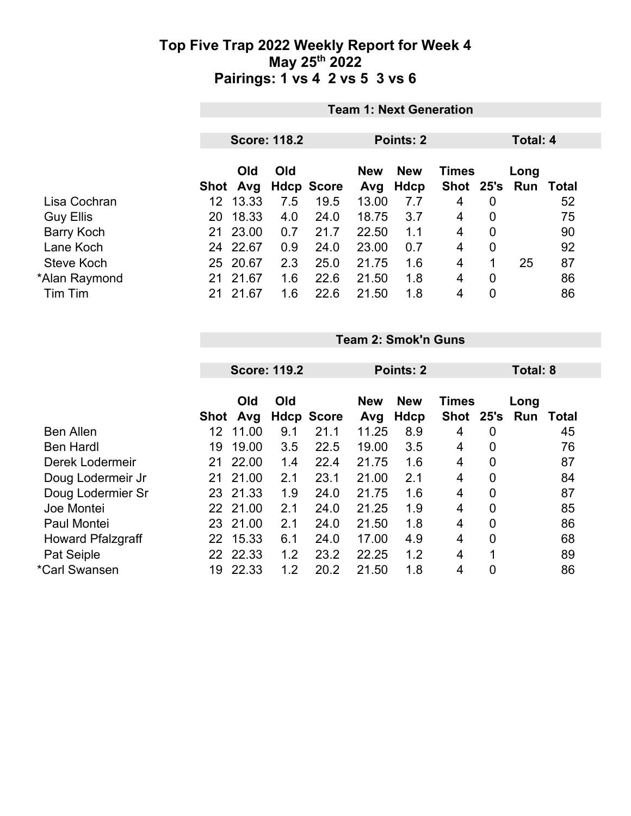|                  |                    | <b>Team 1: Next Generation</b>               |                   |                   |                    |                      |                |             |       |  |  |  |
|------------------|--------------------|----------------------------------------------|-------------------|-------------------|--------------------|----------------------|----------------|-------------|-------|--|--|--|
|                  |                    | <b>Score: 118.2</b><br>Points: 2<br>Total: 4 |                   |                   |                    |                      |                |             |       |  |  |  |
|                  | Old<br>Avg<br>Shot | Old                                          | <b>Hdcp Score</b> | <b>New</b><br>Avg | <b>New</b><br>Hdcp | <b>Times</b><br>Shot | 25's           | Long<br>Run | Total |  |  |  |
| Lisa Cochran     | 13.33<br>12        | 7.5                                          | 19.5              | 13.00             | 7.7                | 4                    | $\overline{0}$ |             | 52    |  |  |  |
| <b>Guy Ellis</b> | 18.33<br>20        | 4.0                                          | 24.0              | 18.75             | 3.7                | $\overline{4}$       | $\overline{0}$ |             | 75    |  |  |  |
| Barry Koch       | 23.00<br>21        | 0.7                                          | 21.7              | 22.50             | 1.1                | $\overline{4}$       | 0              |             | 90    |  |  |  |
| Lane Koch        | 22.67<br>24        | 0.9                                          | 24.0              | 23.00             | 0.7                | $\overline{4}$       | 0              |             | 92    |  |  |  |
| Steve Koch       | 20.67<br>25        | 2.3                                          | 25.0              | 21.75             | 1.6                | $\overline{4}$       | 1              | 25          | 87    |  |  |  |
| *Alan Raymond    | 21.67<br>21        | 1.6                                          | 22.6              | 21.50             | 1.8                | $\overline{4}$       | 0              |             | 86    |  |  |  |
| Tim Tim          | 21.67<br>21        | 1.6                                          | 22.6              | 21.50             | 1.8                | 4                    | 0              |             | 86    |  |  |  |

**Team 2: Smok'n Guns**

|                          |             |          | <b>Score: 119.2</b> |                   | Points: 2  |            |              |                | Total: 8 |       |  |
|--------------------------|-------------|----------|---------------------|-------------------|------------|------------|--------------|----------------|----------|-------|--|
|                          |             |          |                     |                   |            |            |              |                |          |       |  |
|                          |             | Old      | Old                 |                   | <b>New</b> | <b>New</b> | <b>Times</b> |                | Long     |       |  |
|                          | <b>Shot</b> | Avg      |                     | <b>Hdcp Score</b> | Avg        | Hdcp       | <b>Shot</b>  | 25's           | Run      | Total |  |
| <b>Ben Allen</b>         | 12          | 11.00    | 9.1                 | 21.1              | 11.25      | 8.9        | 4            | 0              |          | 45    |  |
| <b>Ben Hardl</b>         | 19          | 19.00    | 3.5                 | 22.5              | 19.00      | 3.5        | 4            | $\mathbf 0$    |          | 76    |  |
| Derek Lodermeir          | 21          | 22.00    | 1.4                 | 22.4              | 21.75      | 1.6        | 4            | $\mathbf 0$    |          | 87    |  |
| Doug Lodermeir Jr        | 21          | 21.00    | 2.1                 | 23.1              | 21.00      | 2.1        | 4            | $\mathbf 0$    |          | 84    |  |
| Doug Lodermier Sr        | 23          | 21.33    | 1.9                 | 24.0              | 21.75      | 1.6        | 4            | $\overline{0}$ |          | 87    |  |
| Joe Montei               |             | 22 21.00 | 2.1                 | 24.0              | 21.25      | 1.9        | 4            | $\mathbf 0$    |          | 85    |  |
| Paul Montei              | 23          | 21.00    | 2.1                 | 24.0              | 21.50      | 1.8        | 4            | $\mathbf 0$    |          | 86    |  |
| <b>Howard Pfalzgraff</b> | 22          | 15.33    | 6.1                 | 24.0              | 17.00      | 4.9        | 4            | $\mathbf 0$    |          | 68    |  |
| Pat Seiple               | 22          | 22.33    | 1.2                 | 23.2              | 22.25      | 1.2        | 4            | 1              |          | 89    |  |
| *Carl Swansen            | 19          | 22.33    | 1.2                 | 20.2              | 21.50      | 1.8        | 4            | $\overline{0}$ |          | 86    |  |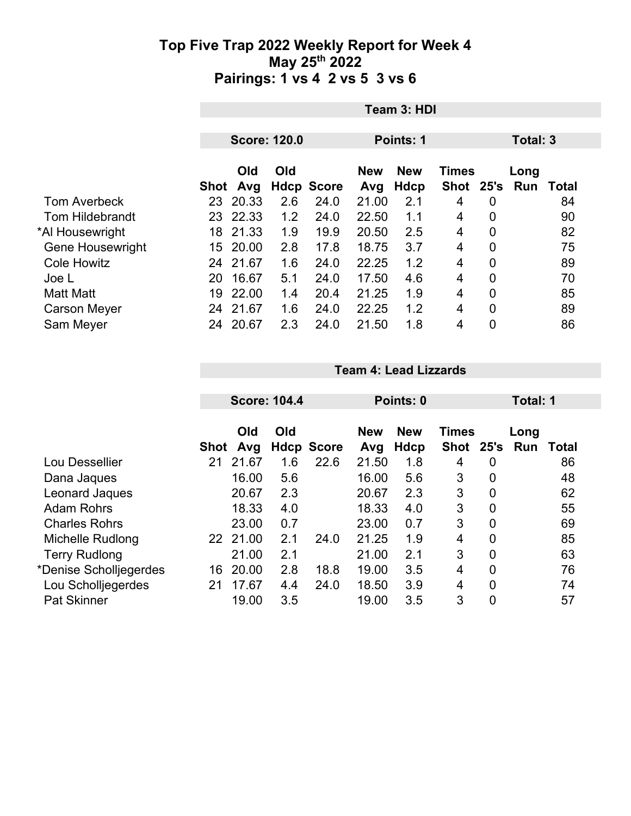|                         |    | Team 3: HDI |                     |                   |                  |                                          |           |                |      |                  |  |
|-------------------------|----|-------------|---------------------|-------------------|------------------|------------------------------------------|-----------|----------------|------|------------------|--|
|                         |    |             |                     |                   |                  |                                          |           |                |      |                  |  |
|                         |    |             | <b>Score: 120.0</b> |                   | <b>Points: 1</b> |                                          |           | Total: 3       |      |                  |  |
|                         |    | Old<br>Old  |                     |                   |                  | <b>New</b><br><b>New</b><br><b>Times</b> |           |                | Long |                  |  |
|                         |    | Shot Avg    |                     | <b>Hdcp Score</b> | Avg              | <b>Hdcp</b>                              | Shot 25's |                |      | <b>Run Total</b> |  |
| <b>Tom Averbeck</b>     |    | 23 20.33    | 2.6                 | 24.0              | 21.00            | 2.1                                      | 4         | 0              |      | 84               |  |
| <b>Tom Hildebrandt</b>  |    | 23 22.33    | 1.2                 | 24.0              | 22.50            | 1.1                                      | 4         | $\overline{0}$ |      | 90               |  |
| *Al Housewright         |    | 18 21.33    | 1.9                 | 19.9              | 20.50            | 2.5                                      | 4         | $\overline{0}$ |      | 82               |  |
| <b>Gene Housewright</b> |    | 15 20.00    | 2.8                 | 17.8              | 18.75            | 3.7                                      | 4         | $\overline{0}$ |      | 75               |  |
| <b>Cole Howitz</b>      |    | 24 21.67    | 1.6                 | 24.0              | 22.25            | 1.2                                      | 4         | $\overline{0}$ |      | 89               |  |
| Joe L                   | 20 | 16.67       | 5.1                 | 24.0              | 17.50            | 4.6                                      | 4         | $\overline{0}$ |      | 70               |  |
| <b>Matt Matt</b>        | 19 | 22.00       | 1.4                 | 20.4              | 21.25            | 1.9                                      | 4         | 0              |      | 85               |  |
| <b>Carson Meyer</b>     | 24 | 21.67       | 1.6                 | 24.0              | 22.25            | 1.2                                      | 4         | $\overline{0}$ |      | 89               |  |
| Sam Meyer               | 24 | 20.67       | 2.3                 | 24.0              | 21.50            | 1.8                                      | 4         | 0              |      | 86               |  |

**Team 4: Lead Lizzards**

|    |       |                                |                            |                           |                   |                                 | Total: 1       |               |             |
|----|-------|--------------------------------|----------------------------|---------------------------|-------------------|---------------------------------|----------------|---------------|-------------|
|    |       |                                |                            |                           |                   |                                 |                |               |             |
|    |       |                                |                            |                           |                   |                                 |                |               |             |
|    |       |                                |                            |                           |                   |                                 |                |               | Total       |
| 21 | 21.67 | 1.6                            |                            | 21.50                     | 1.8               | 4                               | 0              |               | 86          |
|    | 16.00 | 5.6                            |                            | 16.00                     | 5.6               | 3                               | 0              |               | 48          |
|    | 20.67 | 2.3                            |                            | 20.67                     | 2.3               | 3                               | $\overline{0}$ |               | 62          |
|    | 18.33 | 4.0                            |                            | 18.33                     | 4.0               | 3                               | $\mathbf 0$    |               | 55          |
|    | 23.00 | 0.7                            |                            | 23.00                     | 0.7               | 3                               | $\overline{0}$ |               | 69          |
|    |       | 2.1                            | 24.0                       | 21.25                     | 1.9               | 4                               | $\mathbf 0$    |               | 85          |
|    | 21.00 | 2.1                            |                            | 21.00                     | 2.1               | 3                               | $\overline{0}$ |               | 63          |
| 16 | 20.00 | 2.8                            | 18.8                       | 19.00                     | 3.5               | 4                               | $\overline{0}$ |               | 76          |
| 21 | 17.67 | 4.4                            | 24.0                       | 18.50                     | 3.9               | 4                               | 0              |               | 74          |
|    | 19.00 | 3.5                            |                            | 19.00                     | 3.5               | 3                               | 0              |               | 57          |
|    |       | Old<br>Avg<br>Shot<br>22 21.00 | <b>Score: 104.4</b><br>Old | <b>Hdcp Score</b><br>22.6 | <b>New</b><br>Avg | Points: 0<br><b>New</b><br>Hdcp | Shot           | Times<br>25's | Long<br>Run |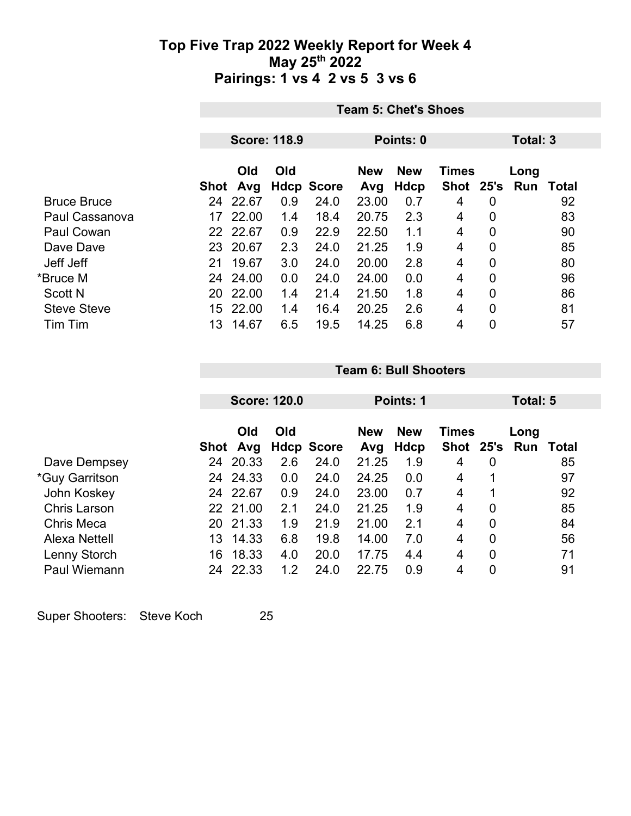|                    | <b>Team 5: Chet's Shoes</b> |                     |     |                   |            |             |              |                |          |       |  |
|--------------------|-----------------------------|---------------------|-----|-------------------|------------|-------------|--------------|----------------|----------|-------|--|
|                    |                             |                     |     |                   |            |             |              |                |          |       |  |
|                    |                             | <b>Score: 118.9</b> |     |                   | Points: 0  |             |              |                | Total: 3 |       |  |
|                    |                             |                     |     |                   |            |             |              |                |          |       |  |
|                    |                             | Old                 | Old |                   | <b>New</b> | <b>New</b>  | <b>Times</b> |                | Long     |       |  |
|                    | Shot                        | Avg                 |     | <b>Hdcp Score</b> | Avg        | <b>Hdcp</b> | Shot 25's    |                | Run      | Total |  |
| <b>Bruce Bruce</b> | 24                          | 22.67               | 0.9 | 24.0              | 23.00      | 0.7         | 4            | 0              |          | 92    |  |
| Paul Cassanova     | 17                          | 22.00               | 1.4 | 18.4              | 20.75      | 2.3         | 4            | 0              |          | 83    |  |
| Paul Cowan         |                             | 22 22.67            | 0.9 | 22.9              | 22.50      | 1.1         | 4            | 0              |          | 90    |  |
| Dave Dave          |                             | 23 20.67            | 2.3 | 24.0              | 21.25      | 1.9         | 4            | 0              |          | 85    |  |
| Jeff Jeff          | 21                          | 19.67               | 3.0 | 24.0              | 20.00      | 2.8         | 4            | 0              |          | 80    |  |
| *Bruce M           | 24                          | 24.00               | 0.0 | 24.0              | 24.00      | 0.0         | 4            | $\overline{0}$ |          | 96    |  |
| <b>Scott N</b>     | 20                          | 22.00               | 1.4 | 21.4              | 21.50      | 1.8         | 4            | 0              |          | 86    |  |
| <b>Steve Steve</b> | 15                          | 22.00               | 1.4 | 16.4              | 20.25      | 2.6         | 4            | 0              |          | 81    |  |
| Tim Tim            | 13                          | 14.67               | 6.5 | 19.5              | 14.25      | 6.8         | 4            | 0              |          | 57    |  |

|                       |      |            | <b>Score: 120.0</b> |                   | Points: 1         |                           |                      |                | Total: 5    |       |  |
|-----------------------|------|------------|---------------------|-------------------|-------------------|---------------------------|----------------------|----------------|-------------|-------|--|
|                       | Shot | Old<br>Avg | Old                 | <b>Hdcp Score</b> | <b>New</b><br>Avg | <b>New</b><br><b>Hdcp</b> | <b>Times</b><br>Shot | 25's           | Long<br>Run | Total |  |
| Dave Dempsey          | 24   | 20.33      | 2.6                 | 24.0              | 21.25             | 1.9                       | 4                    | 0              |             | 85    |  |
| <i>*Guy Garritson</i> | 24   | 24.33      | 0.0                 | 24.0              | 24.25             | 0.0                       | 4                    |                |             | 97    |  |
| John Koskey           | 24   | 22.67      | 0.9                 | 24.0              | 23.00             | 0.7                       | 4                    |                |             | 92    |  |
| <b>Chris Larson</b>   | 22.  | 21.00      | 2.1                 | 24.0              | 21.25             | 1.9                       | 4                    | 0              |             | 85    |  |
| <b>Chris Meca</b>     | 20   | 21.33      | 1.9                 | 21.9              | 21.00             | 2.1                       | 4                    | $\overline{0}$ |             | 84    |  |
| Alexa Nettell         | 13   | 14.33      | 6.8                 | 19.8              | 14.00             | 7.0                       | 4                    | $\overline{0}$ |             | 56    |  |
| Lenny Storch          | 16   | 18.33      | 4.0                 | 20.0              | 17.75             | 4.4                       | 4                    | $\overline{0}$ |             | 71    |  |
| Paul Wiemann          | 24   | 22.33      | 1.2                 | 24.0              | 22.75             | 0.9                       | 4                    | 0              |             | 91    |  |

**Team 6: Bull Shooters**

Super Shooters: Steve Koch 25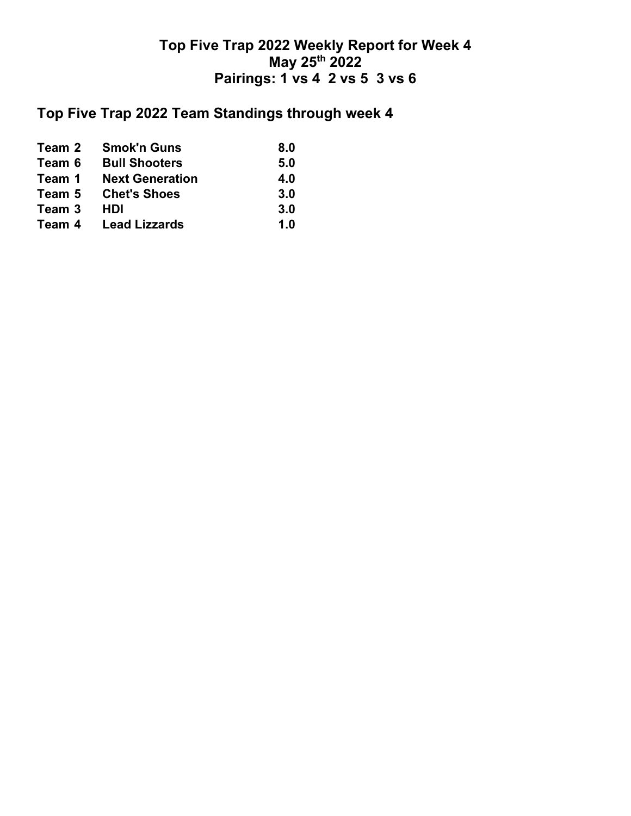## **Top Five Trap 2022 Team Standings through week 4**

| Team 2 | <b>Smok'n Guns</b>          | 8.0 |
|--------|-----------------------------|-----|
| Team 6 | <b>Bull Shooters</b>        | 5.0 |
| Team 1 | <b>Next Generation</b>      | 4.0 |
| Team 5 | <b>Chet's Shoes</b>         | 3.0 |
| Team 3 | <b>HDI</b>                  | 3.0 |
|        | <b>Team 4</b> Lead Lizzards | 1.0 |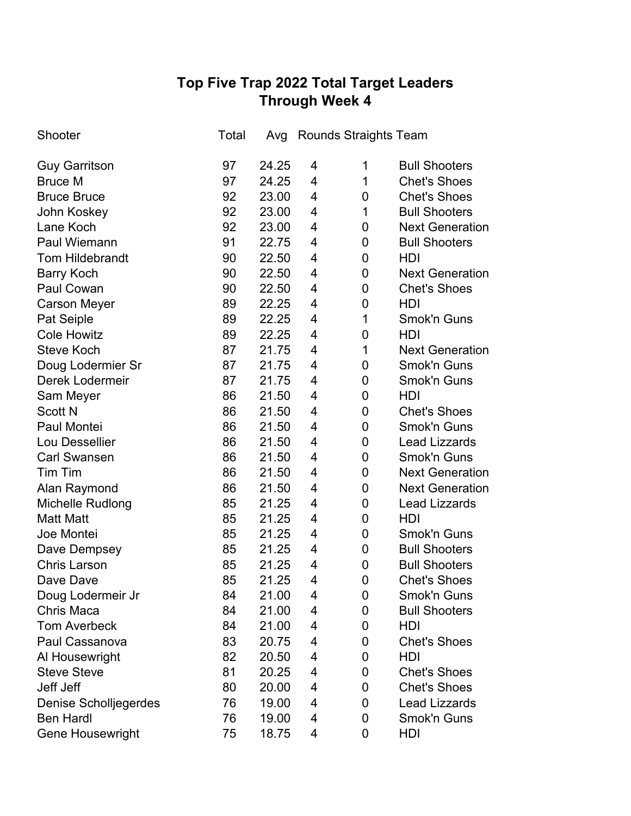# **Top Five Trap 2022 Total Target Leaders Through Week 4**

| Shooter                      | Total | Avg   |   | <b>Rounds Straights Team</b> |                        |
|------------------------------|-------|-------|---|------------------------------|------------------------|
| <b>Guy Garritson</b>         | 97    | 24.25 | 4 | 1                            | <b>Bull Shooters</b>   |
| <b>Bruce M</b>               | 97    | 24.25 | 4 | 1                            | <b>Chet's Shoes</b>    |
| <b>Bruce Bruce</b>           | 92    | 23.00 | 4 | 0                            | <b>Chet's Shoes</b>    |
| John Koskey                  | 92    | 23.00 | 4 | 1                            | <b>Bull Shooters</b>   |
| Lane Koch                    | 92    | 23.00 | 4 | 0                            | <b>Next Generation</b> |
| <b>Paul Wiemann</b>          | 91    | 22.75 | 4 | 0                            | <b>Bull Shooters</b>   |
| <b>Tom Hildebrandt</b>       | 90    | 22.50 | 4 | 0                            | HDI                    |
| <b>Barry Koch</b>            | 90    | 22.50 | 4 | 0                            | <b>Next Generation</b> |
| <b>Paul Cowan</b>            | 90    | 22.50 | 4 | 0                            | <b>Chet's Shoes</b>    |
| <b>Carson Meyer</b>          | 89    | 22.25 | 4 | 0                            | <b>HDI</b>             |
| Pat Seiple                   | 89    | 22.25 | 4 | 1                            | Smok'n Guns            |
| <b>Cole Howitz</b>           | 89    | 22.25 | 4 | 0                            | <b>HDI</b>             |
| <b>Steve Koch</b>            | 87    | 21.75 | 4 | 1                            | <b>Next Generation</b> |
| Doug Lodermier Sr            | 87    | 21.75 | 4 | 0                            | <b>Smok'n Guns</b>     |
| Derek Lodermeir              | 87    | 21.75 | 4 | 0                            | <b>Smok'n Guns</b>     |
| Sam Meyer                    | 86    | 21.50 | 4 | 0                            | HDI                    |
| <b>Scott N</b>               | 86    | 21.50 | 4 | 0                            | <b>Chet's Shoes</b>    |
| Paul Montei                  | 86    | 21.50 | 4 | 0                            | <b>Smok'n Guns</b>     |
| Lou Dessellier               | 86    | 21.50 | 4 | 0                            | <b>Lead Lizzards</b>   |
| <b>Carl Swansen</b>          | 86    | 21.50 | 4 | 0                            | <b>Smok'n Guns</b>     |
| Tim Tim                      | 86    | 21.50 | 4 | 0                            | <b>Next Generation</b> |
| Alan Raymond                 | 86    | 21.50 | 4 | 0                            | <b>Next Generation</b> |
| Michelle Rudlong             | 85    | 21.25 | 4 | 0                            | <b>Lead Lizzards</b>   |
| <b>Matt Matt</b>             | 85    | 21.25 | 4 | 0                            | HDI                    |
| Joe Montei                   | 85    | 21.25 | 4 | 0                            | <b>Smok'n Guns</b>     |
| Dave Dempsey                 | 85    | 21.25 | 4 | 0                            | <b>Bull Shooters</b>   |
| <b>Chris Larson</b>          | 85    | 21.25 | 4 | 0                            | <b>Bull Shooters</b>   |
| Dave Dave                    | 85    | 21.25 | 4 | 0                            | <b>Chet's Shoes</b>    |
| Doug Lodermeir Jr            | 84    | 21.00 | 4 | 0                            | Smok'n Guns            |
| Chris Maca                   | 84    | 21.00 | 4 | 0                            | <b>Bull Shooters</b>   |
| <b>Tom Averbeck</b>          | 84    | 21.00 | 4 | 0                            | HDI                    |
| Paul Cassanova               | 83    | 20.75 | 4 | 0                            | <b>Chet's Shoes</b>    |
| Al Housewright               | 82    | 20.50 | 4 | 0                            | HDI                    |
| <b>Steve Steve</b>           | 81    | 20.25 | 4 | 0                            | <b>Chet's Shoes</b>    |
| Jeff Jeff                    | 80    | 20.00 | 4 | 0                            | <b>Chet's Shoes</b>    |
| <b>Denise Scholljegerdes</b> | 76    | 19.00 | 4 | 0                            | <b>Lead Lizzards</b>   |
| <b>Ben Hardl</b>             | 76    | 19.00 | 4 | 0                            | Smok'n Guns            |
| <b>Gene Housewright</b>      | 75    | 18.75 | 4 | 0                            | HDI                    |